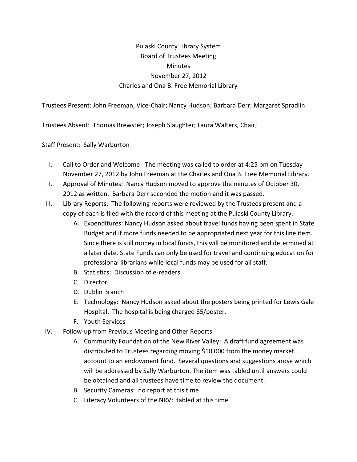## Pulaski County Library System Board of Trustees Meeting **Minutes** November 27, 2012 Charles and Ona B. Free Memorial Library

Trustees Present: John Freeman, Vice-Chair; Nancy Hudson; Barbara Derr; Margaret Spradlin

Trustees Absent: Thomas Brewster; Joseph Slaughter; Laura Walters, Chair;

Staff Present: Sally Warburton

- I. Call to Order and Welcome: The meeting was called to order at 4:25 pm on Tuesday November 27, 2012 by John Freeman at the Charles and Ona B. Free Memorial Library.
- II. Approval of Minutes: Nancy Hudson moved to approve the minutes of October 30, 2012 as written. Barbara Derr seconded the motion and it was passed.
- III. Library Reports: The following reports were reviewed by the Trustees present and a copy of each is filed with the record of this meeting at the Pulaski County Library.
	- A. Expenditures: Nancy Hudson asked about travel funds having been spent in State Budget and if more funds needed to be appropriated next year for this line item. Since there is still money in local funds, this will be monitored and determined at a later date. State Funds can only be used for travel and continuing education for professional librarians while local funds may be used for all staff.
	- B. Statistics: Discussion of e-readers.
	- C. Director
	- D. Dublin Branch
	- E. Technology: Nancy Hudson asked about the posters being printed for Lewis Gale Hospital. The hospital is being charged \$5/poster.
	- F. Youth Services
- IV. Follow-up from Previous Meeting and Other Reports
	- A. Community Foundation of the New River Valley: A draft fund agreement was distributed to Trustees regarding moving \$10,000 from the money market account to an endowment fund. Several questions and suggestions arose which will be addressed by Sally Warburton. The item was tabled until answers could be obtained and all trustees have time to review the document.
	- B. Security Cameras: no report at this time
	- C. Literacy Volunteers of the NRV: tabled at this time